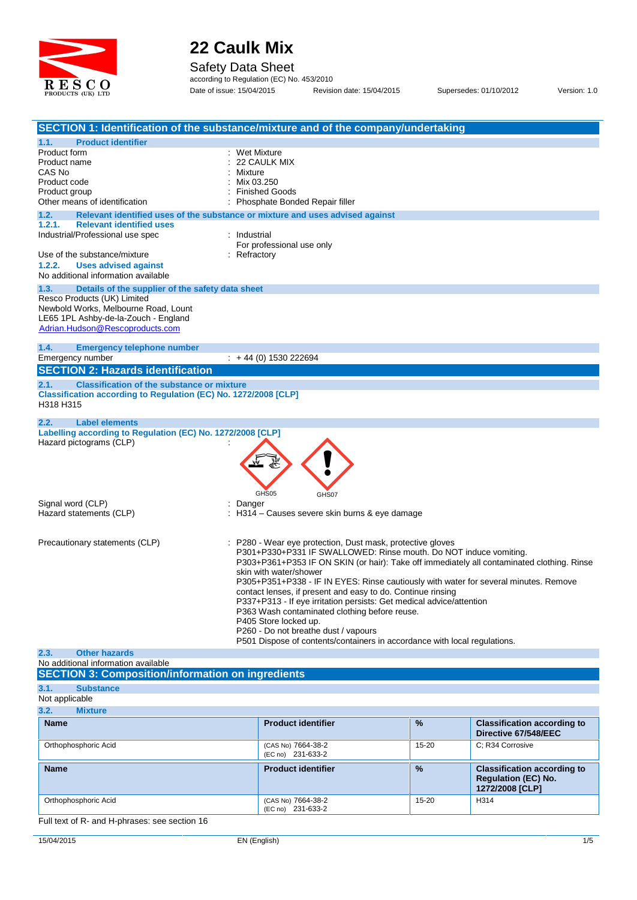

Safety Data Sheet

according to Regulation (EC) No. 453/2010 Date of issue: 15/04/2015 Revision date: 15/04/2015 Supersedes: 01/10/2012 Version: 1.0

|                                                                              | SECTION 1: Identification of the substance/mixture and of the company/undertaking                                     |
|------------------------------------------------------------------------------|-----------------------------------------------------------------------------------------------------------------------|
| 1.1.<br><b>Product identifier</b>                                            |                                                                                                                       |
| Product form                                                                 | : Wet Mixture                                                                                                         |
| Product name                                                                 | 22 CAULK MIX                                                                                                          |
| CAS No                                                                       | Mixture                                                                                                               |
| Product code                                                                 | Mix 03.250                                                                                                            |
| Product group<br>Other means of identification                               | <b>Finished Goods</b><br>Phosphate Bonded Repair filler                                                               |
| 1.2.                                                                         | Relevant identified uses of the substance or mixture and uses advised against                                         |
| 1.2.1.<br><b>Relevant identified uses</b>                                    |                                                                                                                       |
| Industrial/Professional use spec                                             | : Industrial                                                                                                          |
|                                                                              | For professional use only                                                                                             |
| Use of the substance/mixture                                                 | Refractory                                                                                                            |
| 1.2.2.<br><b>Uses advised against</b>                                        |                                                                                                                       |
| No additional information available                                          |                                                                                                                       |
| Details of the supplier of the safety data sheet<br>1.3.                     |                                                                                                                       |
| Resco Products (UK) Limited                                                  |                                                                                                                       |
| Newbold Works, Melbourne Road, Lount<br>LE65 1PL Ashby-de-la-Zouch - England |                                                                                                                       |
| Adrian.Hudson@Rescoproducts.com                                              |                                                                                                                       |
|                                                                              |                                                                                                                       |
| 1.4.<br><b>Emergency telephone number</b>                                    |                                                                                                                       |
| Emergency number                                                             | $\div$ + 44 (0) 1530 222694                                                                                           |
| <b>SECTION 2: Hazards identification</b>                                     |                                                                                                                       |
| <b>Classification of the substance or mixture</b><br>2.1.                    |                                                                                                                       |
| Classification according to Regulation (EC) No. 1272/2008 [CLP]              |                                                                                                                       |
| H318 H315                                                                    |                                                                                                                       |
|                                                                              |                                                                                                                       |
| <b>Label elements</b><br>2.2.                                                |                                                                                                                       |
|                                                                              |                                                                                                                       |
| Labelling according to Regulation (EC) No. 1272/2008 [CLP]                   |                                                                                                                       |
| Hazard pictograms (CLP)                                                      |                                                                                                                       |
|                                                                              |                                                                                                                       |
|                                                                              |                                                                                                                       |
|                                                                              |                                                                                                                       |
|                                                                              |                                                                                                                       |
|                                                                              | GHS05<br>GHS07                                                                                                        |
| Signal word (CLP)<br>Hazard statements (CLP)                                 | Danger<br>H314 - Causes severe skin burns & eye damage                                                                |
|                                                                              |                                                                                                                       |
|                                                                              |                                                                                                                       |
| Precautionary statements (CLP)                                               | P280 - Wear eye protection, Dust mask, protective gloves                                                              |
|                                                                              | P301+P330+P331 IF SWALLOWED: Rinse mouth. Do NOT induce vomiting.                                                     |
|                                                                              | P303+P361+P353 IF ON SKIN (or hair): Take off immediately all contaminated clothing. Rinse                            |
|                                                                              | skin with water/shower                                                                                                |
|                                                                              | P305+P351+P338 - IF IN EYES: Rinse cautiously with water for several minutes. Remove                                  |
|                                                                              | contact lenses, if present and easy to do. Continue rinsing                                                           |
|                                                                              | P337+P313 - If eye irritation persists: Get medical advice/attention<br>P363 Wash contaminated clothing before reuse. |
|                                                                              | P405 Store locked up.                                                                                                 |
|                                                                              | P260 - Do not breathe dust / vapours                                                                                  |
|                                                                              | P501 Dispose of contents/containers in accordance with local regulations.                                             |
| 2.3.<br><b>Other hazards</b>                                                 |                                                                                                                       |
| No additional information available                                          |                                                                                                                       |
| <b>SECTION 3: Composition/information on ingredients</b>                     |                                                                                                                       |

Not applicable

|--|

| <b>Name</b>          | <b>Product identifier</b>               | $\frac{9}{6}$ | <b>Classification according to</b><br>Directive 67/548/EEC                          |
|----------------------|-----------------------------------------|---------------|-------------------------------------------------------------------------------------|
| Orthophosphoric Acid | (CAS No) 7664-38-2<br>(EC no) 231-633-2 | $15 - 20$     | C: R34 Corrosive                                                                    |
| <b>Name</b>          | <b>Product identifier</b>               | $\frac{9}{6}$ | <b>Classification according to</b><br><b>Regulation (EC) No.</b><br>1272/2008 [CLP] |
| Orthophosphoric Acid | (CAS No) 7664-38-2<br>(EC no) 231-633-2 | $15 - 20$     | H314                                                                                |

Full text of R- and H-phrases: see section 16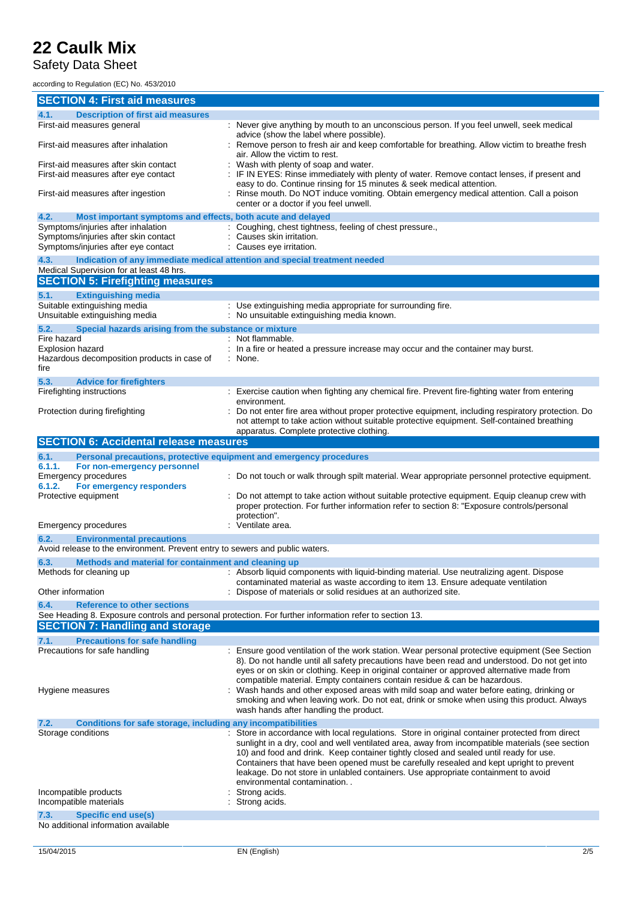#### Safety Data Sheet

according to Regulation (EC) No. 453/2010

| according to Regulation (EC) NO. 453/2010                                                                                          |                                                                                                                                                                                                                                                                                                                                                                                                                                                                                                             |
|------------------------------------------------------------------------------------------------------------------------------------|-------------------------------------------------------------------------------------------------------------------------------------------------------------------------------------------------------------------------------------------------------------------------------------------------------------------------------------------------------------------------------------------------------------------------------------------------------------------------------------------------------------|
| <b>SECTION 4: First aid measures</b>                                                                                               |                                                                                                                                                                                                                                                                                                                                                                                                                                                                                                             |
| <b>Description of first aid measures</b><br>4.1.                                                                                   |                                                                                                                                                                                                                                                                                                                                                                                                                                                                                                             |
| First-aid measures general<br>First-aid measures after inhalation                                                                  | : Never give anything by mouth to an unconscious person. If you feel unwell, seek medical<br>advice (show the label where possible).<br>: Remove person to fresh air and keep comfortable for breathing. Allow victim to breathe fresh<br>air. Allow the victim to rest.                                                                                                                                                                                                                                    |
| First-aid measures after skin contact<br>First-aid measures after eye contact                                                      | : Wash with plenty of soap and water.<br>IF IN EYES: Rinse immediately with plenty of water. Remove contact lenses, if present and                                                                                                                                                                                                                                                                                                                                                                          |
| First-aid measures after ingestion                                                                                                 | easy to do. Continue rinsing for 15 minutes & seek medical attention.<br>Rinse mouth. Do NOT induce vomiting. Obtain emergency medical attention. Call a poison<br>center or a doctor if you feel unwell.                                                                                                                                                                                                                                                                                                   |
| 4.2.<br>Most important symptoms and effects, both acute and delayed                                                                |                                                                                                                                                                                                                                                                                                                                                                                                                                                                                                             |
| Symptoms/injuries after inhalation<br>Symptoms/injuries after skin contact<br>Symptoms/injuries after eye contact                  | : Coughing, chest tightness, feeling of chest pressure.,<br>: Causes skin irritation.<br>: Causes eye irritation.                                                                                                                                                                                                                                                                                                                                                                                           |
| 4.3.                                                                                                                               | Indication of any immediate medical attention and special treatment needed                                                                                                                                                                                                                                                                                                                                                                                                                                  |
| Medical Supervision for at least 48 hrs.<br><b>SECTION 5: Firefighting measures</b>                                                |                                                                                                                                                                                                                                                                                                                                                                                                                                                                                                             |
|                                                                                                                                    |                                                                                                                                                                                                                                                                                                                                                                                                                                                                                                             |
| 5.1.<br><b>Extinguishing media</b><br>Suitable extinguishing media<br>Unsuitable extinguishing media                               | : Use extinguishing media appropriate for surrounding fire.<br>: No unsuitable extinguishing media known.                                                                                                                                                                                                                                                                                                                                                                                                   |
| 5.2.<br>Special hazards arising from the substance or mixture                                                                      |                                                                                                                                                                                                                                                                                                                                                                                                                                                                                                             |
| Fire hazard<br>Explosion hazard<br>Hazardous decomposition products in case of<br>fire                                             | : Not flammable.<br>: In a fire or heated a pressure increase may occur and the container may burst.<br>: None.                                                                                                                                                                                                                                                                                                                                                                                             |
| 5.3.<br><b>Advice for firefighters</b>                                                                                             |                                                                                                                                                                                                                                                                                                                                                                                                                                                                                                             |
| Firefighting instructions                                                                                                          | : Exercise caution when fighting any chemical fire. Prevent fire-fighting water from entering                                                                                                                                                                                                                                                                                                                                                                                                               |
| Protection during firefighting                                                                                                     | environment.<br>Do not enter fire area without proper protective equipment, including respiratory protection. Do<br>not attempt to take action without suitable protective equipment. Self-contained breathing<br>apparatus. Complete protective clothing.                                                                                                                                                                                                                                                  |
| <b>SECTION 6: Accidental release measures</b>                                                                                      |                                                                                                                                                                                                                                                                                                                                                                                                                                                                                                             |
| 6.1.<br>Personal precautions, protective equipment and emergency procedures                                                        |                                                                                                                                                                                                                                                                                                                                                                                                                                                                                                             |
| 6.1.1.<br>For non-emergency personnel<br><b>Emergency procedures</b><br>For emergency responders<br>6.1.2.<br>Protective equipment | : Do not touch or walk through spilt material. Wear appropriate personnel protective equipment.<br>Do not attempt to take action without suitable protective equipment. Equip cleanup crew with<br>proper protection. For further information refer to section 8: "Exposure controls/personal                                                                                                                                                                                                               |
|                                                                                                                                    | protection".                                                                                                                                                                                                                                                                                                                                                                                                                                                                                                |
| Emergency procedures                                                                                                               | Ventilate area.                                                                                                                                                                                                                                                                                                                                                                                                                                                                                             |
| 6.2.<br><b>Environmental precautions</b><br>Avoid release to the environment. Prevent entry to sewers and public waters.           |                                                                                                                                                                                                                                                                                                                                                                                                                                                                                                             |
| 6.3.<br>Methods and material for containment and cleaning up                                                                       |                                                                                                                                                                                                                                                                                                                                                                                                                                                                                                             |
| Methods for cleaning up                                                                                                            | : Absorb liquid components with liquid-binding material. Use neutralizing agent. Dispose<br>contaminated material as waste according to item 13. Ensure adequate ventilation                                                                                                                                                                                                                                                                                                                                |
| Other information                                                                                                                  | Dispose of materials or solid residues at an authorized site.                                                                                                                                                                                                                                                                                                                                                                                                                                               |
| 6.4.<br><b>Reference to other sections</b><br><b>SECTION 7: Handling and storage</b>                                               | See Heading 8. Exposure controls and personal protection. For further information refer to section 13.                                                                                                                                                                                                                                                                                                                                                                                                      |
| <b>Precautions for safe handling</b><br>7.1.                                                                                       |                                                                                                                                                                                                                                                                                                                                                                                                                                                                                                             |
| Precautions for safe handling                                                                                                      | : Ensure good ventilation of the work station. Wear personal protective equipment (See Section<br>8). Do not handle until all safety precautions have been read and understood. Do not get into<br>eyes or on skin or clothing. Keep in original container or approved alternative made from<br>compatible material. Empty containers contain residue & can be hazardous.                                                                                                                                   |
| Hygiene measures                                                                                                                   | Wash hands and other exposed areas with mild soap and water before eating, drinking or<br>smoking and when leaving work. Do not eat, drink or smoke when using this product. Always<br>wash hands after handling the product.                                                                                                                                                                                                                                                                               |
| 7.2.<br>Conditions for safe storage, including any incompatibilities                                                               |                                                                                                                                                                                                                                                                                                                                                                                                                                                                                                             |
| Storage conditions                                                                                                                 | : Store in accordance with local regulations. Store in original container protected from direct<br>sunlight in a dry, cool and well ventilated area, away from incompatible materials (see section<br>10) and food and drink. Keep container tightly closed and sealed until ready for use.<br>Containers that have been opened must be carefully resealed and kept upright to prevent<br>leakage. Do not store in unlabled containers. Use appropriate containment to avoid<br>environmental contamination |
| Incompatible products<br>Incompatible materials                                                                                    | Strong acids.<br>Strong acids.                                                                                                                                                                                                                                                                                                                                                                                                                                                                              |
| 7.3.<br><b>Specific end use(s)</b><br>No additional information available                                                          |                                                                                                                                                                                                                                                                                                                                                                                                                                                                                                             |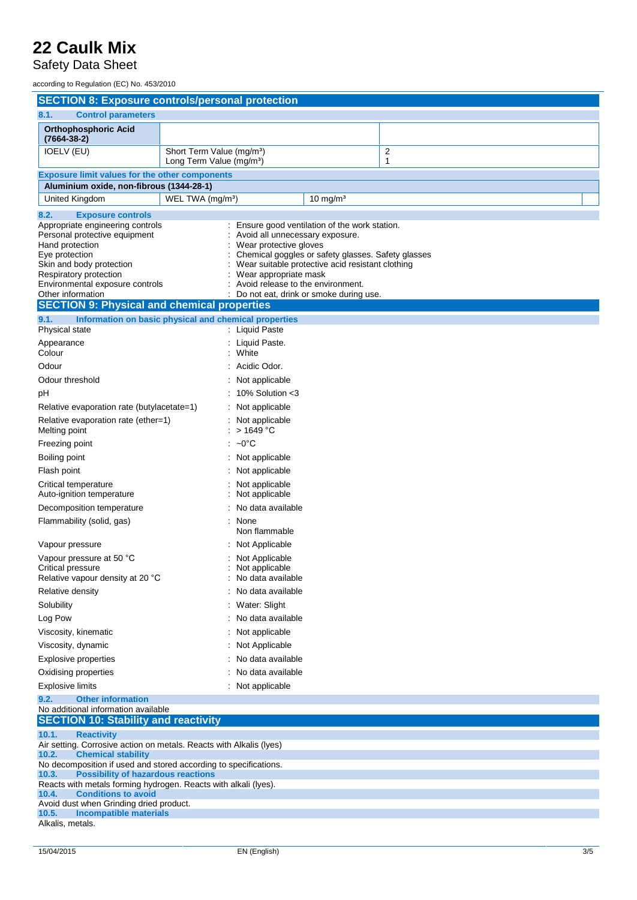Safety Data Sheet

according to Regulation (EC) No. 453/2010

| <b>SECTION 8: Exposure controls/personal protection</b>                                                                                                                                                                                                                    |                                                                               |                                                                                                                           |                                                                                                                                                                                                    |                     |
|----------------------------------------------------------------------------------------------------------------------------------------------------------------------------------------------------------------------------------------------------------------------------|-------------------------------------------------------------------------------|---------------------------------------------------------------------------------------------------------------------------|----------------------------------------------------------------------------------------------------------------------------------------------------------------------------------------------------|---------------------|
| 8.1.<br><b>Control parameters</b>                                                                                                                                                                                                                                          |                                                                               |                                                                                                                           |                                                                                                                                                                                                    |                     |
| <b>Orthophosphoric Acid</b><br>$(7664 - 38 - 2)$                                                                                                                                                                                                                           |                                                                               |                                                                                                                           |                                                                                                                                                                                                    |                     |
| IOELV (EU)                                                                                                                                                                                                                                                                 | Short Term Value (mg/m <sup>3</sup> )<br>Long Term Value (mg/m <sup>3</sup> ) |                                                                                                                           |                                                                                                                                                                                                    | $\overline{2}$<br>1 |
| <b>Exposure limit values for the other components</b>                                                                                                                                                                                                                      |                                                                               |                                                                                                                           |                                                                                                                                                                                                    |                     |
| Aluminium oxide, non-fibrous (1344-28-1)                                                                                                                                                                                                                                   |                                                                               |                                                                                                                           |                                                                                                                                                                                                    |                     |
| United Kingdom                                                                                                                                                                                                                                                             | WEL TWA (mg/m <sup>3</sup> )                                                  |                                                                                                                           | 10 mg/ $m3$                                                                                                                                                                                        |                     |
| 8.2.<br><b>Exposure controls</b>                                                                                                                                                                                                                                           |                                                                               |                                                                                                                           |                                                                                                                                                                                                    |                     |
| Appropriate engineering controls<br>Personal protective equipment<br>Hand protection<br>Eye protection<br>Skin and body protection<br>Respiratory protection<br>Environmental exposure controls<br>Other information<br><b>SECTION 9: Physical and chemical properties</b> |                                                                               | : Avoid all unnecessary exposure.<br>Wear protective gloves<br>Wear appropriate mask<br>Avoid release to the environment. | : Ensure good ventilation of the work station.<br>Chemical goggles or safety glasses. Safety glasses<br>Wear suitable protective acid resistant clothing<br>Do not eat, drink or smoke during use. |                     |
| 9.1.<br>Information on basic physical and chemical properties                                                                                                                                                                                                              |                                                                               |                                                                                                                           |                                                                                                                                                                                                    |                     |
| <b>Physical state</b>                                                                                                                                                                                                                                                      |                                                                               | : Liquid Paste                                                                                                            |                                                                                                                                                                                                    |                     |
| Appearance<br>Colour                                                                                                                                                                                                                                                       |                                                                               | : Liquid Paste.<br>White                                                                                                  |                                                                                                                                                                                                    |                     |
| Odour                                                                                                                                                                                                                                                                      |                                                                               | Acidic Odor.                                                                                                              |                                                                                                                                                                                                    |                     |
| Odour threshold                                                                                                                                                                                                                                                            |                                                                               | Not applicable                                                                                                            |                                                                                                                                                                                                    |                     |
| pH                                                                                                                                                                                                                                                                         |                                                                               | 10% Solution <3                                                                                                           |                                                                                                                                                                                                    |                     |
| Relative evaporation rate (butylacetate=1)                                                                                                                                                                                                                                 |                                                                               | : Not applicable                                                                                                          |                                                                                                                                                                                                    |                     |
| Relative evaporation rate (ether=1)<br>Melting point                                                                                                                                                                                                                       |                                                                               | Not applicable<br>$>$ 1649 °C                                                                                             |                                                                                                                                                                                                    |                     |
| Freezing point                                                                                                                                                                                                                                                             |                                                                               | $\therefore$ ~0°C                                                                                                         |                                                                                                                                                                                                    |                     |
| Boiling point                                                                                                                                                                                                                                                              |                                                                               | Not applicable                                                                                                            |                                                                                                                                                                                                    |                     |
| Flash point                                                                                                                                                                                                                                                                |                                                                               | Not applicable                                                                                                            |                                                                                                                                                                                                    |                     |
| Critical temperature<br>Auto-ignition temperature                                                                                                                                                                                                                          |                                                                               | Not applicable<br>Not applicable                                                                                          |                                                                                                                                                                                                    |                     |
| Decomposition temperature                                                                                                                                                                                                                                                  |                                                                               | No data available                                                                                                         |                                                                                                                                                                                                    |                     |
| Flammability (solid, gas)                                                                                                                                                                                                                                                  |                                                                               | : None<br>Non flammable                                                                                                   |                                                                                                                                                                                                    |                     |
| Vapour pressure                                                                                                                                                                                                                                                            |                                                                               | Not Applicable                                                                                                            |                                                                                                                                                                                                    |                     |
| Vapour pressure at 50 °C<br>Critical pressure<br>Relative vapour density at 20 °C                                                                                                                                                                                          |                                                                               | Not Applicable<br>Not applicable<br>No data available                                                                     |                                                                                                                                                                                                    |                     |
| Relative density                                                                                                                                                                                                                                                           |                                                                               | No data available                                                                                                         |                                                                                                                                                                                                    |                     |
| Solubility                                                                                                                                                                                                                                                                 |                                                                               | : Water: Slight                                                                                                           |                                                                                                                                                                                                    |                     |
| Log Pow                                                                                                                                                                                                                                                                    |                                                                               | No data available                                                                                                         |                                                                                                                                                                                                    |                     |
| Viscosity, kinematic                                                                                                                                                                                                                                                       |                                                                               | : Not applicable                                                                                                          |                                                                                                                                                                                                    |                     |
| Viscosity, dynamic                                                                                                                                                                                                                                                         |                                                                               | Not Applicable                                                                                                            |                                                                                                                                                                                                    |                     |
| <b>Explosive properties</b>                                                                                                                                                                                                                                                |                                                                               | No data available                                                                                                         |                                                                                                                                                                                                    |                     |
| Oxidising properties                                                                                                                                                                                                                                                       |                                                                               | No data available                                                                                                         |                                                                                                                                                                                                    |                     |
| Explosive limits                                                                                                                                                                                                                                                           |                                                                               | : Not applicable                                                                                                          |                                                                                                                                                                                                    |                     |
| 9.2.<br><b>Other information</b><br>No additional information available<br><b>SECTION 10: Stability and reactivity</b>                                                                                                                                                     |                                                                               |                                                                                                                           |                                                                                                                                                                                                    |                     |
| 10.1.<br><b>Reactivity</b>                                                                                                                                                                                                                                                 |                                                                               |                                                                                                                           |                                                                                                                                                                                                    |                     |
| Air setting. Corrosive action on metals. Reacts with Alkalis (lyes)                                                                                                                                                                                                        |                                                                               |                                                                                                                           |                                                                                                                                                                                                    |                     |
| 10.2.<br><b>Chemical stability</b><br>No decomposition if used and stored according to specifications.                                                                                                                                                                     |                                                                               |                                                                                                                           |                                                                                                                                                                                                    |                     |
| 10.3.<br><b>Possibility of hazardous reactions</b>                                                                                                                                                                                                                         |                                                                               |                                                                                                                           |                                                                                                                                                                                                    |                     |
| Reacts with metals forming hydrogen. Reacts with alkali (lyes).<br><b>Conditions to avoid</b><br>10.4.                                                                                                                                                                     |                                                                               |                                                                                                                           |                                                                                                                                                                                                    |                     |
| Avoid dust when Grinding dried product.                                                                                                                                                                                                                                    |                                                                               |                                                                                                                           |                                                                                                                                                                                                    |                     |
| 10.5.<br>Incompatible materials<br>Alkalis, metals.                                                                                                                                                                                                                        |                                                                               |                                                                                                                           |                                                                                                                                                                                                    |                     |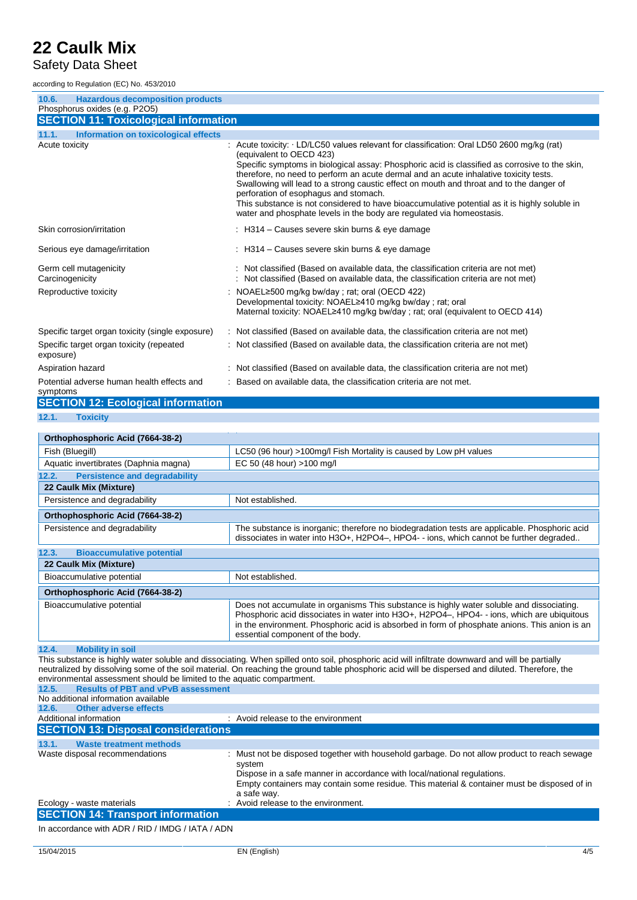#### Safety Data Sheet

according to Regulation (EC) No. 453/2010

| 10.6.<br><b>Hazardous decomposition products</b>       |                                                                                                                                                                                                                                                                                                                                                                                                                                                                                                                                                                                                                                |
|--------------------------------------------------------|--------------------------------------------------------------------------------------------------------------------------------------------------------------------------------------------------------------------------------------------------------------------------------------------------------------------------------------------------------------------------------------------------------------------------------------------------------------------------------------------------------------------------------------------------------------------------------------------------------------------------------|
| Phosphorus oxides (e.g. P2O5)                          |                                                                                                                                                                                                                                                                                                                                                                                                                                                                                                                                                                                                                                |
| <b>SECTION 11: Toxicological information</b>           |                                                                                                                                                                                                                                                                                                                                                                                                                                                                                                                                                                                                                                |
| 11.1.<br>Information on toxicological effects          |                                                                                                                                                                                                                                                                                                                                                                                                                                                                                                                                                                                                                                |
| Acute toxicity                                         | Acute toxicity: · LD/LC50 values relevant for classification: Oral LD50 2600 mg/kg (rat)<br>(equivalent to OECD 423)<br>Specific symptoms in biological assay: Phosphoric acid is classified as corrosive to the skin,<br>therefore, no need to perform an acute dermal and an acute inhalative toxicity tests.<br>Swallowing will lead to a strong caustic effect on mouth and throat and to the danger of<br>perforation of esophagus and stomach.<br>This substance is not considered to have bioaccumulative potential as it is highly soluble in<br>water and phosphate levels in the body are regulated via homeostasis. |
| Skin corrosion/irritation                              | : H314 – Causes severe skin burns & eye damage                                                                                                                                                                                                                                                                                                                                                                                                                                                                                                                                                                                 |
| Serious eye damage/irritation                          | : H314 – Causes severe skin burns & eye damage                                                                                                                                                                                                                                                                                                                                                                                                                                                                                                                                                                                 |
| Germ cell mutagenicity<br>Carcinogenicity              | : Not classified (Based on available data, the classification criteria are not met)<br>: Not classified (Based on available data, the classification criteria are not met)                                                                                                                                                                                                                                                                                                                                                                                                                                                     |
| Reproductive toxicity                                  | NOAEL≥500 mg/kg bw/day ; rat; oral (OECD 422)<br>Developmental toxicity: NOAEL≥410 mg/kg bw/day ; rat; oral<br>Maternal toxicity: NOAEL≥410 mg/kg bw/day ; rat; oral (equivalent to OECD 414)                                                                                                                                                                                                                                                                                                                                                                                                                                  |
| Specific target organ toxicity (single exposure)       | : Not classified (Based on available data, the classification criteria are not met)                                                                                                                                                                                                                                                                                                                                                                                                                                                                                                                                            |
| Specific target organ toxicity (repeated<br>exposure)  | : Not classified (Based on available data, the classification criteria are not met)                                                                                                                                                                                                                                                                                                                                                                                                                                                                                                                                            |
| Aspiration hazard                                      | : Not classified (Based on available data, the classification criteria are not met)                                                                                                                                                                                                                                                                                                                                                                                                                                                                                                                                            |
| Potential adverse human health effects and<br>symptoms | : Based on available data, the classification criteria are not met.                                                                                                                                                                                                                                                                                                                                                                                                                                                                                                                                                            |
| <b>SECTION 12: Ecological information</b>              |                                                                                                                                                                                                                                                                                                                                                                                                                                                                                                                                                                                                                                |
| 12.1.<br><b>Toxicity</b>                               |                                                                                                                                                                                                                                                                                                                                                                                                                                                                                                                                                                                                                                |
|                                                        |                                                                                                                                                                                                                                                                                                                                                                                                                                                                                                                                                                                                                                |

| Orthophosphoric Acid (7664-38-2)              |                                                                                                                                                                                                                                                                                                                            |
|-----------------------------------------------|----------------------------------------------------------------------------------------------------------------------------------------------------------------------------------------------------------------------------------------------------------------------------------------------------------------------------|
| Fish (Bluegill)                               | LC50 (96 hour) >100mg/l Fish Mortality is caused by Low pH values                                                                                                                                                                                                                                                          |
| Aquatic invertibrates (Daphnia magna)         | EC 50 (48 hour) >100 mg/l                                                                                                                                                                                                                                                                                                  |
| <b>Persistence and degradability</b><br>12.2. |                                                                                                                                                                                                                                                                                                                            |
| 22 Caulk Mix (Mixture)                        |                                                                                                                                                                                                                                                                                                                            |
| Persistence and degradability                 | Not established.                                                                                                                                                                                                                                                                                                           |
| Orthophosphoric Acid (7664-38-2)              |                                                                                                                                                                                                                                                                                                                            |
| Persistence and degradability                 | The substance is inorganic; therefore no biodegradation tests are applicable. Phosphoric acid<br>dissociates in water into H3O+, H2PO4-, HPO4- - ions, which cannot be further degraded                                                                                                                                    |
| 12.3.<br><b>Bioaccumulative potential</b>     |                                                                                                                                                                                                                                                                                                                            |
| 22 Caulk Mix (Mixture)                        |                                                                                                                                                                                                                                                                                                                            |
| Bioaccumulative potential                     | Not established.                                                                                                                                                                                                                                                                                                           |
| Orthophosphoric Acid (7664-38-2)              |                                                                                                                                                                                                                                                                                                                            |
| Bioaccumulative potential                     | Does not accumulate in organisms This substance is highly water soluble and dissociating.<br>Phosphoric acid dissociates in water into H3O+, H2PO4-, HPO4--ions, which are ubiquitous<br>in the environment. Phosphoric acid is absorbed in form of phosphate anions. This anion is an<br>essential component of the body. |

**12.4. Mobility in soil**

This substance is highly water soluble and dissociating. When spilled onto soil, phosphoric acid will infiltrate downward and will be partially neutralized by dissolving some of the soil material. On reaching the ground table phosphoric acid will be dispersed and diluted. Therefore, the environmental assessment should be limited to the aquatic compartment.

| 12.5. | <b>Results of PBT and vPvB assessment</b>  |                                                                                                        |
|-------|--------------------------------------------|--------------------------------------------------------------------------------------------------------|
|       | No additional information available        |                                                                                                        |
| 12.6. | <b>Other adverse effects</b>               |                                                                                                        |
|       | Additional information                     | : Avoid release to the environment                                                                     |
|       | <b>SECTION 13: Disposal considerations</b> |                                                                                                        |
| 13.1. | <b>Waste treatment methods</b>             |                                                                                                        |
|       | Waste disposal recommendations             | : Must not be disposed together with household garbage. Do not allow product to reach sewage<br>system |
|       |                                            | Dispose in a safe manner in accordance with local/national regulations.                                |
|       |                                            | Empty containers may contain some residue. This material & container must be disposed of in            |
|       |                                            | a safe way.                                                                                            |
|       | Ecology - waste materials                  | : Avoid release to the environment.                                                                    |
|       | <b>SECTION 14: Transport information</b>   |                                                                                                        |

In accordance with ADR / RID / IMDG / IATA / ADN